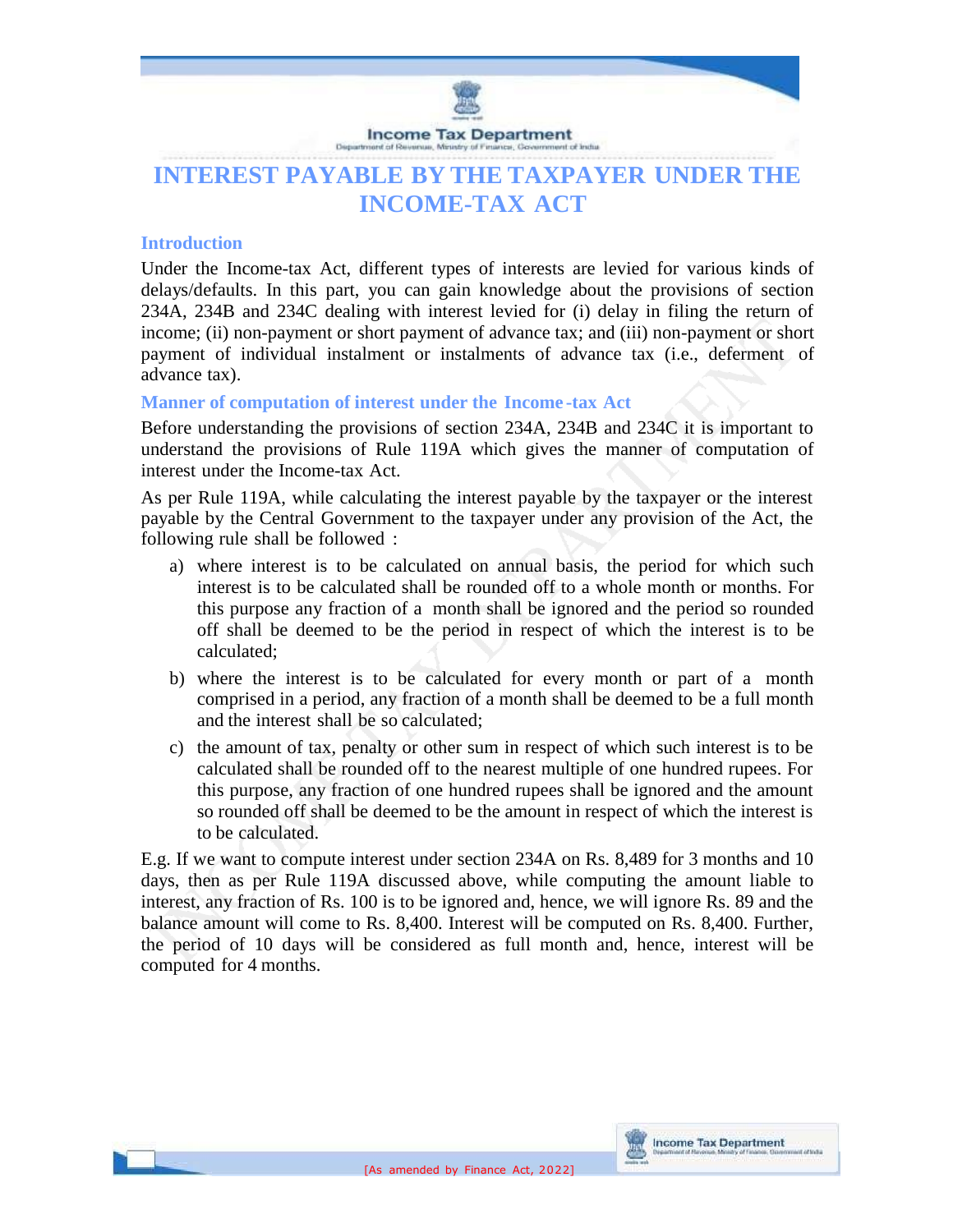

# **INTEREST PAYABLE BY THE TAXPAYER UNDER THE INCOME-TAX ACT**

### **Introduction**

Under the Income-tax Act, different types of interests are levied for various kinds of delays/defaults. In this part, you can gain knowledge about the provisions of section 234A, 234B and 234C dealing with interest levied for (i) delay in filing the return of income; (ii) non-payment or short payment of advance tax; and (iii) non-payment or short payment of individual instalment or instalments of advance tax (i.e., deferment of advance tax).

### **Manner of computation of interest under the Income -tax Act**

Before understanding the provisions of section 234A, 234B and 234C it is important to understand the provisions of Rule 119A which gives the manner of computation of interest under the Income-tax Act.

As per Rule 119A, while calculating the interest payable by the taxpayer or the interest payable by the Central Government to the taxpayer under any provision of the Act, the following rule shall be followed :

- a) where interest is to be calculated on annual basis, the period for which such interest is to be calculated shall be rounded off to a whole month or months. For this purpose any fraction of a month shall be ignored and the period so rounded off shall be deemed to be the period in respect of which the interest is to be calculated;
- b) where the interest is to be calculated for every month or part of a month comprised in a period, any fraction of a month shall be deemed to be a full month and the interest shall be so calculated;
- c) the amount of tax, penalty or other sum in respect of which such interest is to be calculated shall be rounded off to the nearest multiple of one hundred rupees. For this purpose, any fraction of one hundred rupees shall be ignored and the amount so rounded off shall be deemed to be the amount in respect of which the interest is to be calculated.

E.g. If we want to compute interest under section 234A on Rs. 8,489 for 3 months and 10 days, then as per Rule 119A discussed above, while computing the amount liable to interest, any fraction of Rs. 100 is to be ignored and, hence, we will ignore Rs. 89 and the balance amount will come to Rs. 8,400. Interest will be computed on Rs. 8,400. Further, the period of 10 days will be considered as full month and, hence, interest will be computed for 4 months.

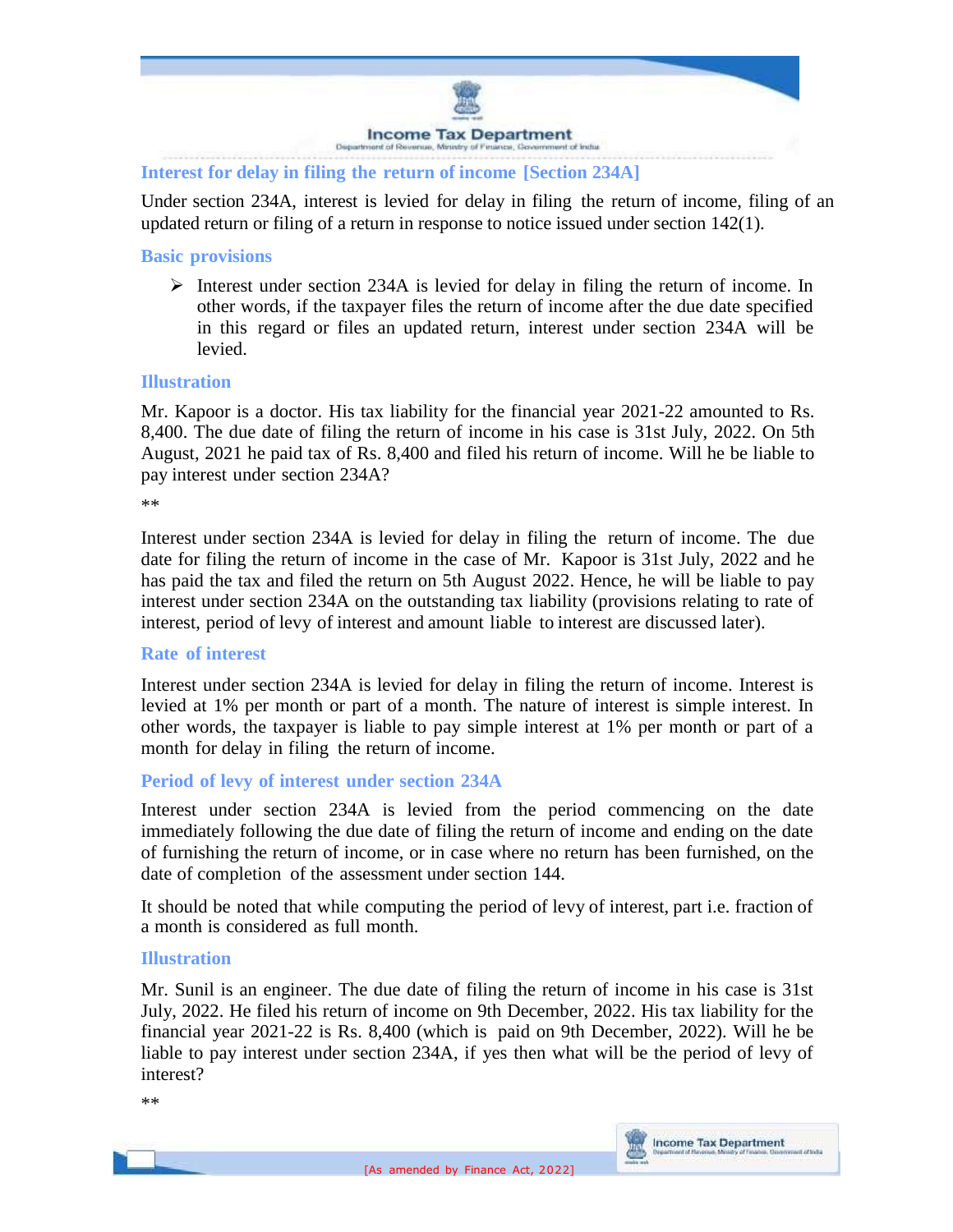

**Interest for delay in filing the return of income [Section 234A]**

Under section 234A, interest is levied for delay in filing the return of income, filing of an updated return or filing of a return in response to notice issued under section 142(1).

### **Basic provisions**

Interest under section 234A is levied for delay in filing the return of income. In other words, if the taxpayer files the return of income after the due date specified in this regard or files an updated return, interest under section 234A will be levied.

### **Illustration**

Mr. Kapoor is a doctor. His tax liability for the financial year 2021-22 amounted to Rs. 8,400. The due date of filing the return of income in his case is 31st July, 2022. On 5th August, 2021 he paid tax of Rs. 8,400 and filed his return of income. Will he be liable to pay interest under section 234A?

\*\*

Interest under section 234A is levied for delay in filing the return of income. The due date for filing the return of income in the case of Mr. Kapoor is 31st July, 2022 and he has paid the tax and filed the return on 5th August 2022. Hence, he will be liable to pay interest under section 234A on the outstanding tax liability (provisions relating to rate of interest, period of levy of interest and amount liable to interest are discussed later).

### **Rate of interest**

Interest under section 234A is levied for delay in filing the return of income. Interest is levied at 1% per month or part of a month. The nature of interest is simple interest. In other words, the taxpayer is liable to pay simple interest at 1% per month or part of a month for delay in filing the return of income.

### **Period of levy of interest under section 234A**

Interest under section 234A is levied from the period commencing on the date immediately following the due date of filing the return of income and ending on the date of furnishing the return of income, or in case where no return has been furnished, on the date of completion of the assessment under section 144.

It should be noted that while computing the period of levy of interest, part i.e. fraction of a month is considered as full month.

### **Illustration**

Mr. Sunil is an engineer. The due date of filing the return of income in his case is 31st July, 2022. He filed his return of income on 9th December, 2022. His tax liability for the financial year 2021-22 is Rs. 8,400 (which is paid on 9th December, 2022). Will he be liable to pay interest under section 234A, if yes then what will be the period of levy of interest?

\*\*

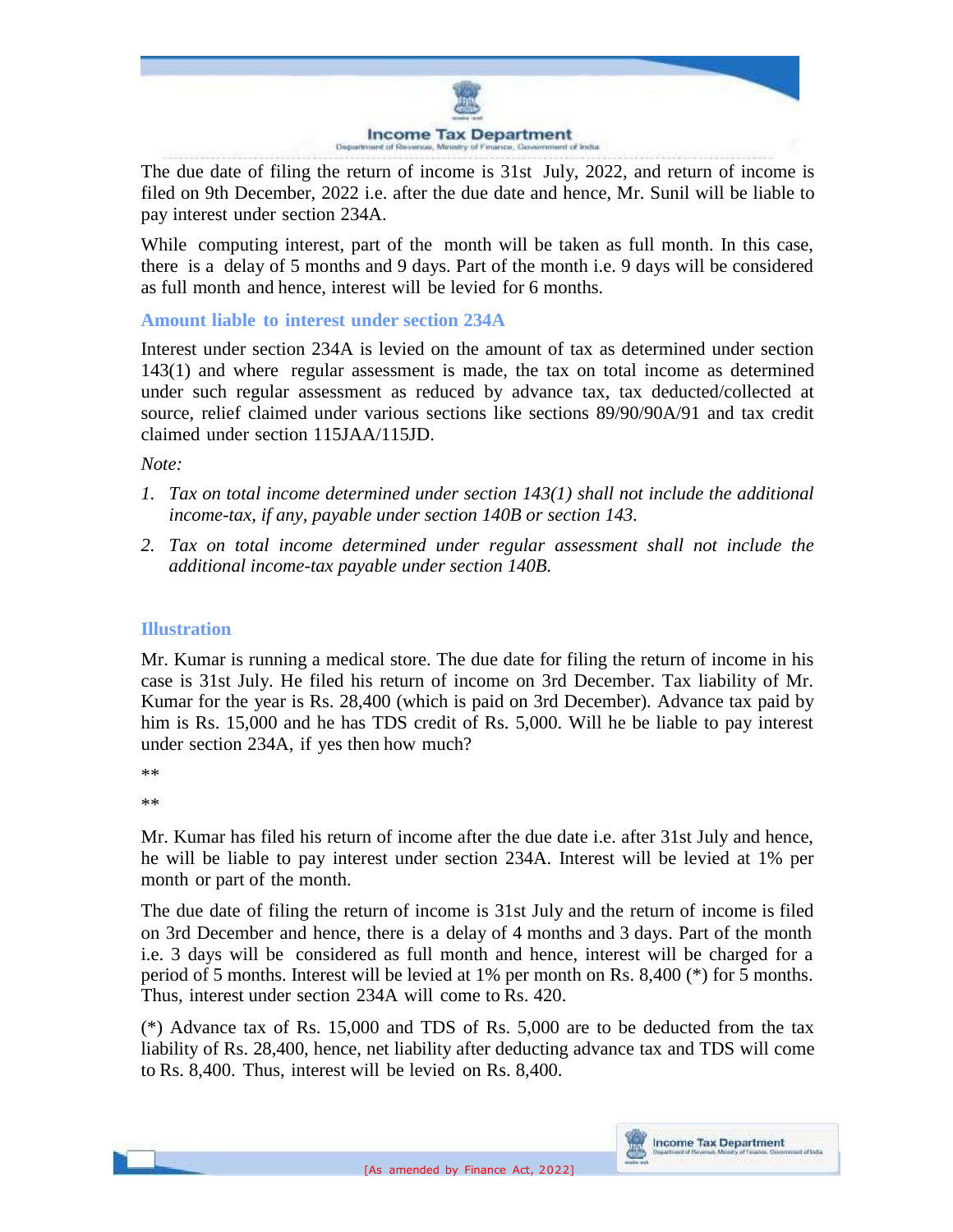

The due date of filing the return of income is 31st July, 2022, and return of income is filed on 9th December, 2022 i.e. after the due date and hence, Mr. Sunil will be liable to pay interest under section 234A.

While computing interest, part of the month will be taken as full month. In this case, there is a delay of 5 months and 9 days. Part of the month i.e. 9 days will be considered as full month and hence, interest will be levied for 6 months.

# **Amount liable to interest under section 234A**

Interest under section 234A is levied on the amount of tax as determined under section 143(1) and where regular assessment is made, the tax on total income as determined under such regular assessment as reduced by advance tax, tax deducted/collected at source, relief claimed under various sections like sections 89/90/90A/91 and tax credit claimed under section 115JAA/115JD.

*Note:*

- *1. Tax on total income determined under section 143(1) shall not include the additional income-tax, if any, payable under section 140B or section 143.*
- *2. Tax on total income determined under regular assessment shall not include the additional income-tax payable under section 140B.*

### **Illustration**

Mr. Kumar is running a medical store. The due date for filing the return of income in his case is 31st July. He filed his return of income on 3rd December. Tax liability of Mr. Kumar for the year is Rs. 28,400 (which is paid on 3rd December). Advance tax paid by him is Rs. 15,000 and he has TDS credit of Rs. 5,000. Will he be liable to pay interest under section 234A, if yes then how much?

\*\*

\*\*

Mr. Kumar has filed his return of income after the due date i.e. after 31st July and hence, he will be liable to pay interest under section 234A. Interest will be levied at 1% per month or part of the month.

The due date of filing the return of income is 31st July and the return of income is filed on 3rd December and hence, there is a delay of 4 months and 3 days. Part of the month i.e. 3 days will be considered as full month and hence, interest will be charged for a period of 5 months. Interest will be levied at 1% per month on Rs. 8,400 (\*) for 5 months. Thus, interest under section 234A will come to Rs. 420.

(\*) Advance tax of Rs. 15,000 and TDS of Rs. 5,000 are to be deducted from the tax liability of Rs. 28,400, hence, net liability after deducting advance tax and TDS will come to Rs. 8,400. Thus, interest will be levied on Rs. 8,400.

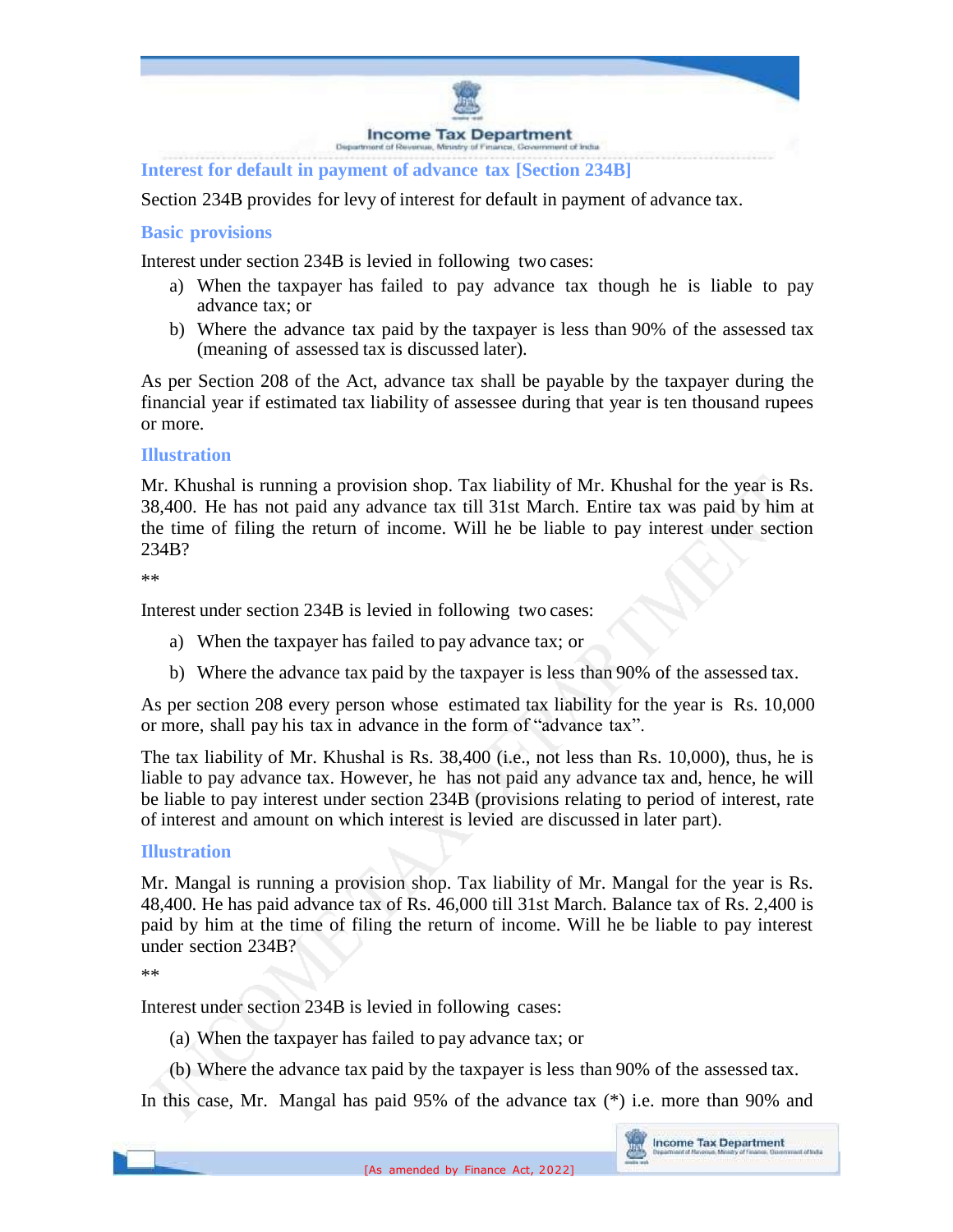

**Interest for default in payment of advance tax [Section 234B]**

Section 234B provides for levy of interest for default in payment of advance tax.

### **Basic provisions**

Interest under section 234B is levied in following two cases:

- a) When the taxpayer has failed to pay advance tax though he is liable to pay advance tax; or
- b) Where the advance tax paid by the taxpayer is less than 90% of the assessed tax (meaning of assessed tax is discussed later).

As per Section 208 of the Act, advance tax shall be payable by the taxpayer during the financial year if estimated tax liability of assessee during that year is ten thousand rupees or more.

### **Illustration**

Mr. Khushal is running a provision shop. Tax liability of Mr. Khushal for the year is Rs. 38,400. He has not paid any advance tax till 31st March. Entire tax was paid by him at the time of filing the return of income. Will he be liable to pay interest under section 234B?

\*\*

Interest under section 234B is levied in following two cases:

- a) When the taxpayer has failed to pay advance tax; or
- b) Where the advance tax paid by the taxpayer is less than 90% of the assessed tax.

As per section 208 every person whose estimated tax liability for the year is Rs. 10,000 or more, shall pay his tax in advance in the form of "advance tax".

The tax liability of Mr. Khushal is Rs. 38,400 (i.e., not less than Rs. 10,000), thus, he is liable to pay advance tax. However, he has not paid any advance tax and, hence, he will be liable to pay interest under section 234B (provisions relating to period of interest, rate of interest and amount on which interest is levied are discussed in later part).

#### **Illustration**

Mr. Mangal is running a provision shop. Tax liability of Mr. Mangal for the year is Rs. 48,400. He has paid advance tax of Rs. 46,000 till 31st March. Balance tax of Rs. 2,400 is paid by him at the time of filing the return of income. Will he be liable to pay interest under section 234B?

\*\*

Interest under section 234B is levied in following cases:

- (a) When the taxpayer has failed to pay advance tax; or
- (b) Where the advance tax paid by the taxpayer is less than 90% of the assessed tax.

In this case, Mr. Mangal has paid 95% of the advance tax (\*) i.e. more than 90% and

**Lif Suite**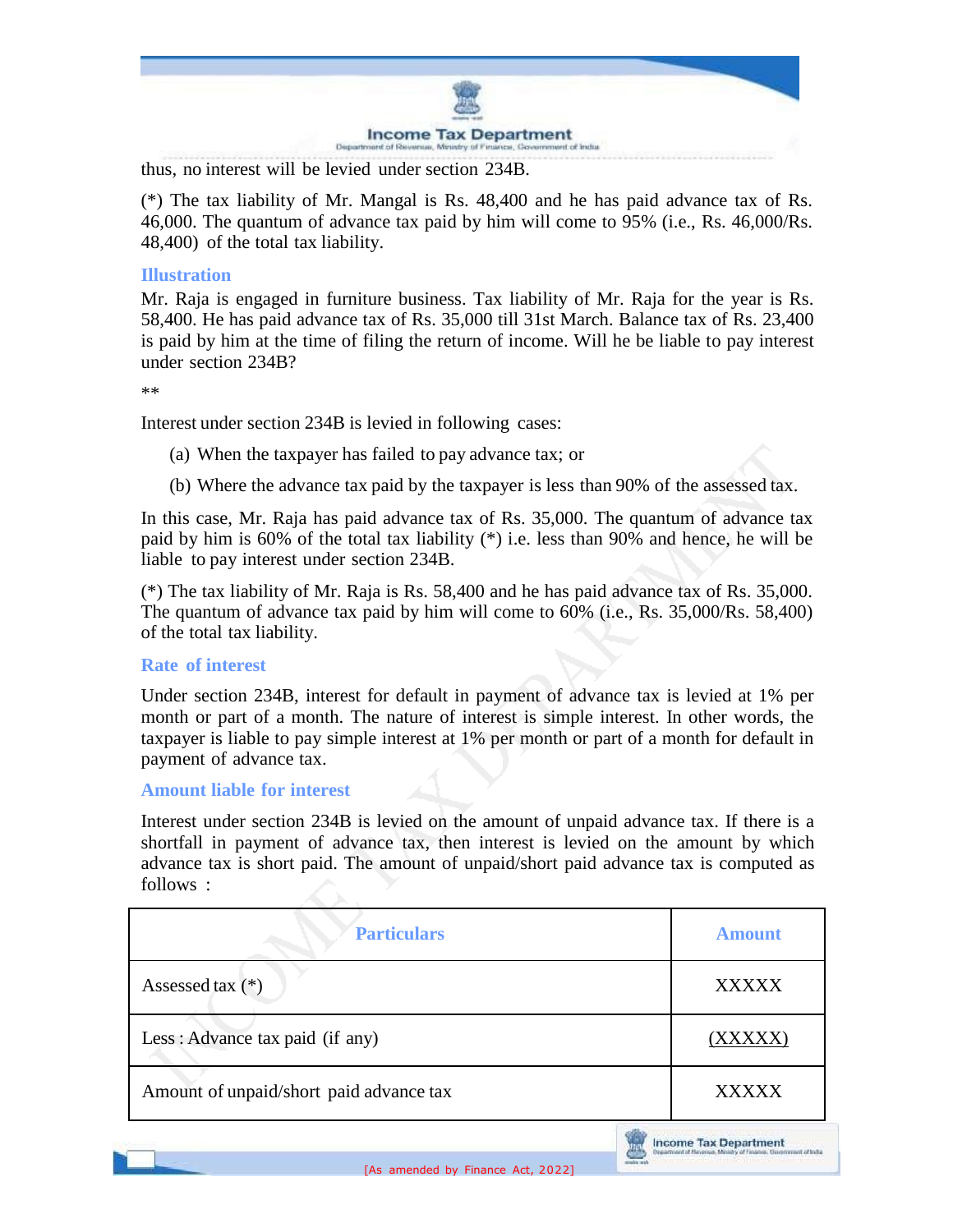

thus, no interest will be levied under section 234B.

(\*) The tax liability of Mr. Mangal is Rs. 48,400 and he has paid advance tax of Rs. 46,000. The quantum of advance tax paid by him will come to 95% (i.e., Rs. 46,000/Rs. 48,400) of the total tax liability.

### **Illustration**

Mr. Raja is engaged in furniture business. Tax liability of Mr. Raja for the year is Rs. 58,400. He has paid advance tax of Rs. 35,000 till 31st March. Balance tax of Rs. 23,400 is paid by him at the time of filing the return of income. Will he be liable to pay interest under section 234B?

\*\*

Interest under section 234B is levied in following cases:

- (a) When the taxpayer has failed to pay advance tax; or
- (b) Where the advance tax paid by the taxpayer is less than 90% of the assessed tax.

In this case, Mr. Raja has paid advance tax of Rs. 35,000. The quantum of advance tax paid by him is 60% of the total tax liability (\*) i.e. less than 90% and hence, he will be liable to pay interest under section 234B.

(\*) The tax liability of Mr. Raja is Rs. 58,400 and he has paid advance tax of Rs. 35,000. The quantum of advance tax paid by him will come to 60% (i.e., Rs. 35,000/Rs. 58,400) of the total tax liability.

### **Rate of interest**

Under section 234B, interest for default in payment of advance tax is levied at 1% per month or part of a month. The nature of interest is simple interest. In other words, the taxpayer is liable to pay simple interest at 1% per month or part of a month for default in payment of advance tax.

#### **Amount liable for interest**

Interest under section 234B is levied on the amount of unpaid advance tax. If there is a shortfall in payment of advance tax, then interest is levied on the amount by which advance tax is short paid. The amount of unpaid/short paid advance tax is computed as follows :

| <b>Particulars</b>                      | <b>Amount</b> |
|-----------------------------------------|---------------|
| Assessed tax $(*)$                      | <b>XXXXX</b>  |
| Less: Advance tax paid (if any)         | (XXXXX)       |
| Amount of unpaid/short paid advance tax | <b>XXXXX</b>  |

**Income Tax Department**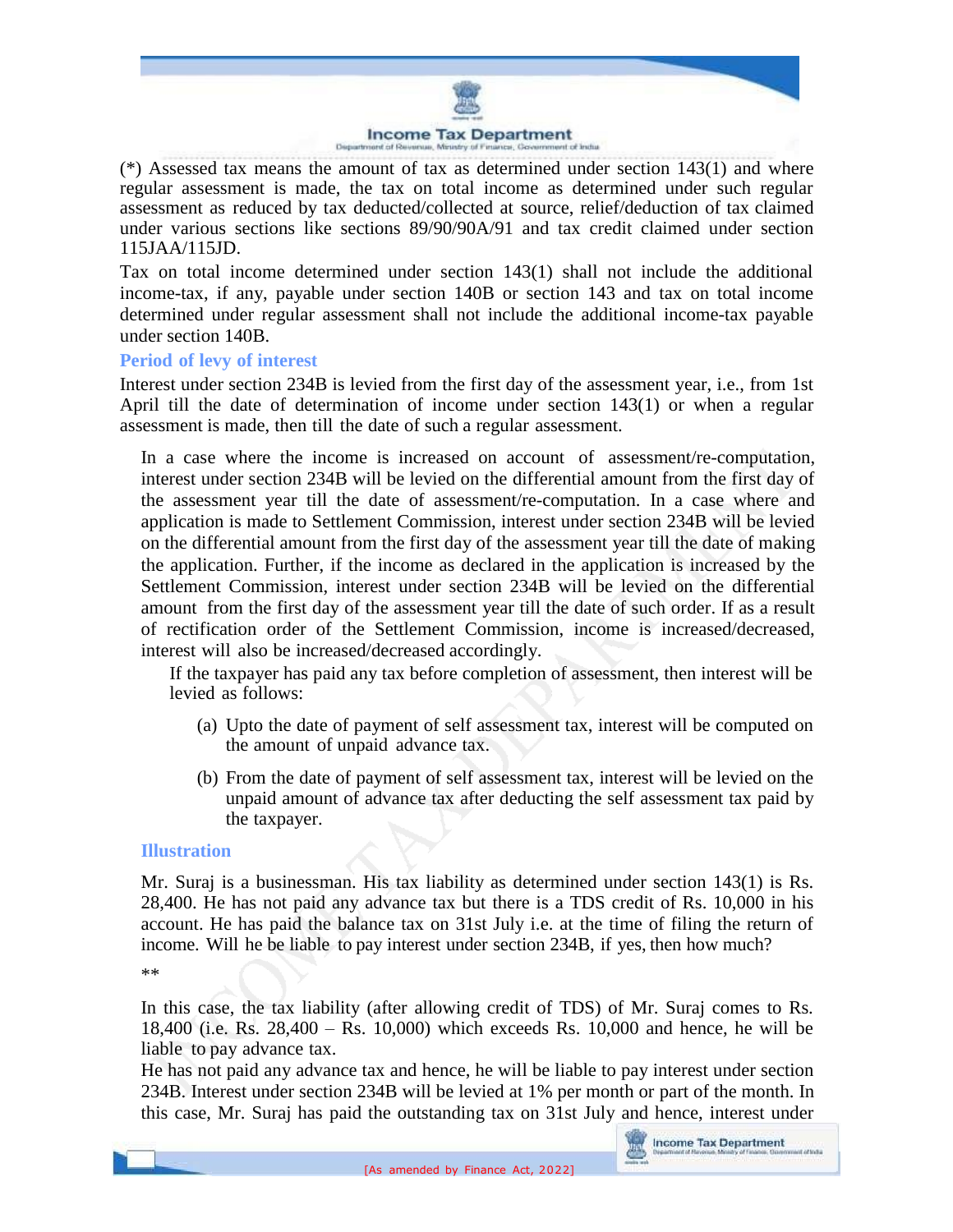

 $(*)$  Assessed tax means the amount of tax as determined under section 143(1) and where regular assessment is made, the tax on total income as determined under such regular assessment as reduced by tax deducted/collected at source, relief/deduction of tax claimed under various sections like sections 89/90/90A/91 and tax credit claimed under section 115JAA/115JD.

Tax on total income determined under section 143(1) shall not include the additional income-tax, if any, payable under section 140B or section 143 and tax on total income determined under regular assessment shall not include the additional income-tax payable under section 140B.

#### **Period of levy of interest**

Interest under section 234B is levied from the first day of the assessment year, i.e., from 1st April till the date of determination of income under section 143(1) or when a regular assessment is made, then till the date of such a regular assessment.

In a case where the income is increased on account of assessment/re-computation, interest under section 234B will be levied on the differential amount from the first day of the assessment year till the date of assessment/re-computation. In a case where and application is made to Settlement Commission, interest under section 234B will be levied on the differential amount from the first day of the assessment year till the date of making the application. Further, if the income as declared in the application is increased by the Settlement Commission, interest under section 234B will be levied on the differential amount from the first day of the assessment year till the date of such order. If as a result of rectification order of the Settlement Commission, income is increased/decreased, interest will also be increased/decreased accordingly.

If the taxpayer has paid any tax before completion of assessment, then interest will be levied as follows:

- (a) Upto the date of payment of self assessment tax, interest will be computed on the amount of unpaid advance tax.
- (b) From the date of payment of self assessment tax, interest will be levied on the unpaid amount of advance tax after deducting the self assessment tax paid by the taxpayer.

#### **Illustration**

Mr. Suraj is a businessman. His tax liability as determined under section 143(1) is Rs. 28,400. He has not paid any advance tax but there is a TDS credit of Rs. 10,000 in his account. He has paid the balance tax on 31st July i.e. at the time of filing the return of income. Will he be liable to pay interest under section 234B, if yes, then how much? \*\*

In this case, the tax liability (after allowing credit of TDS) of Mr. Suraj comes to Rs. 18,400 (i.e. Rs. 28,400 – Rs. 10,000) which exceeds Rs. 10,000 and hence, he will be liable to pay advance tax.

He has not paid any advance tax and hence, he will be liable to pay interest under section 234B. Interest under section 234B will be levied at 1% per month or part of the month. In this case, Mr. Suraj has paid the outstanding tax on 31st July and hence, interest under

**Lif Suite**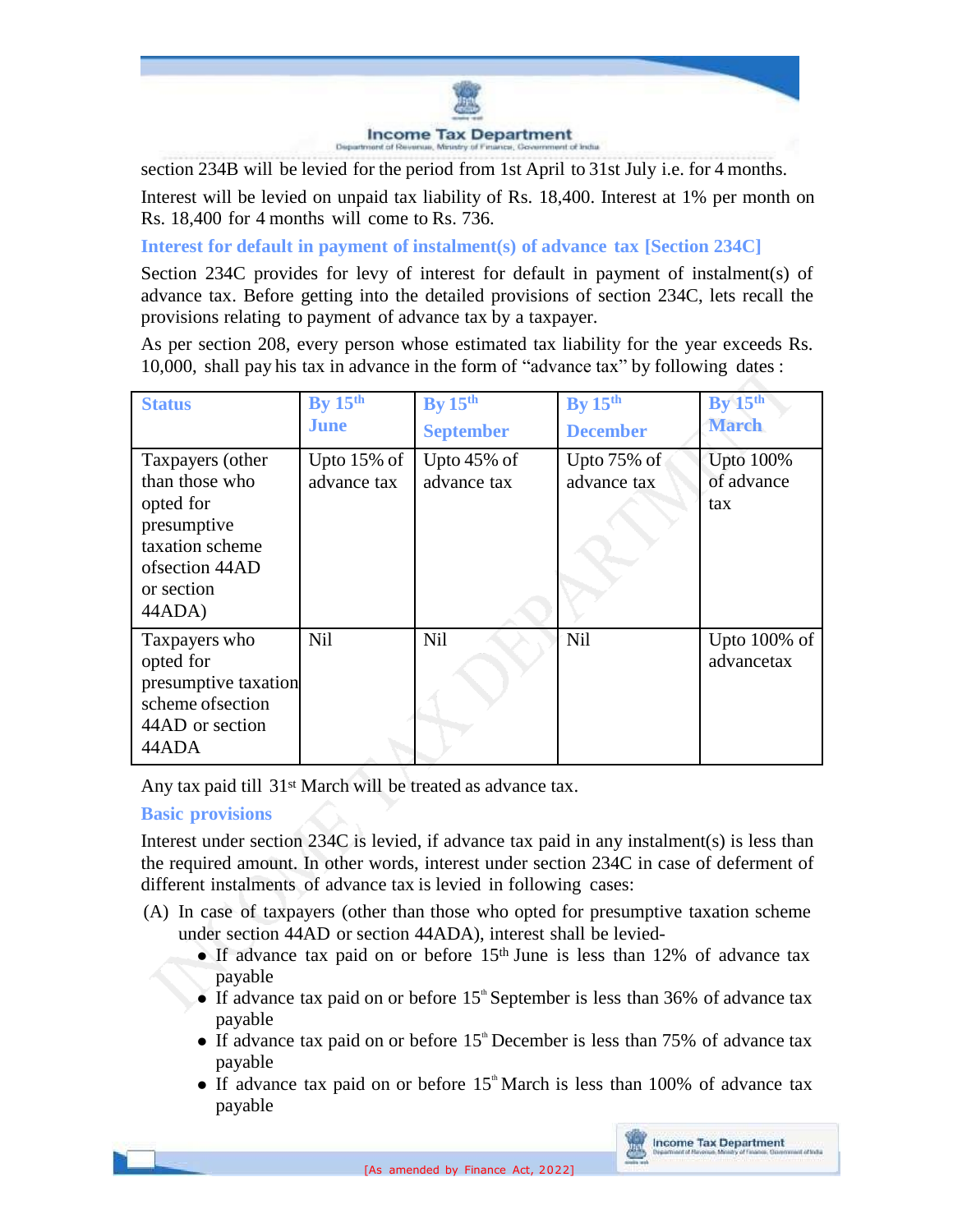

section 234B will be levied for the period from 1st April to 31st July i.e. for 4 months.

Interest will be levied on unpaid tax liability of Rs. 18,400. Interest at 1% per month on Rs. 18,400 for 4 months will come to Rs. 736.

**Interest for default in payment of instalment(s) of advance tax [Section 234C]**

Section 234C provides for levy of interest for default in payment of instalment(s) of advance tax. Before getting into the detailed provisions of section 234C, lets recall the provisions relating to payment of advance tax by a taxpayer.

As per section 208, every person whose estimated tax liability for the year exceeds Rs. 10,000, shall pay his tax in advance in the form of "advance tax" by following dates :

| <b>Status</b>                                                                                                              | By $15th$<br>June             | By $15th$<br><b>September</b> | By $15th$<br><b>December</b>  | By 15 <sup>th</sup><br><b>March</b>   |
|----------------------------------------------------------------------------------------------------------------------------|-------------------------------|-------------------------------|-------------------------------|---------------------------------------|
| Taxpayers (other<br>than those who<br>opted for<br>presumptive<br>taxation scheme<br>ofsection 44AD<br>or section<br>44ADA | Upto $15\%$ of<br>advance tax | Upto $45\%$ of<br>advance tax | Upto $75\%$ of<br>advance tax | <b>Upto 100%</b><br>of advance<br>tax |
| Taxpayers who<br>opted for<br>presumptive taxation<br>scheme of section<br>44AD or section<br>44ADA                        | Nil                           | Nil                           | <b>Nil</b>                    | Upto 100% of<br>advancetax            |

Any tax paid till 31st March will be treated as advance tax.

# **Basic provisions**

Interest under section 234C is levied, if advance tax paid in any instalment(s) is less than the required amount. In other words, interest under section 234C in case of deferment of different instalments of advance tax is levied in following cases:

- (A) In case of taxpayers (other than those who opted for presumptive taxation scheme under section 44AD or section 44ADA), interest shall be levied-
	- If advance tax paid on or before  $15<sup>th</sup>$  June is less than 12% of advance tax payable
	- If advance tax paid on or before  $15^{\circ}$  September is less than 36% of advance tax payable
	- If advance tax paid on or before  $15<sup>th</sup>$  December is less than 75% of advance tax payable
	- If advance tax paid on or before  $15<sup>th</sup>$  March is less than 100% of advance tax payable

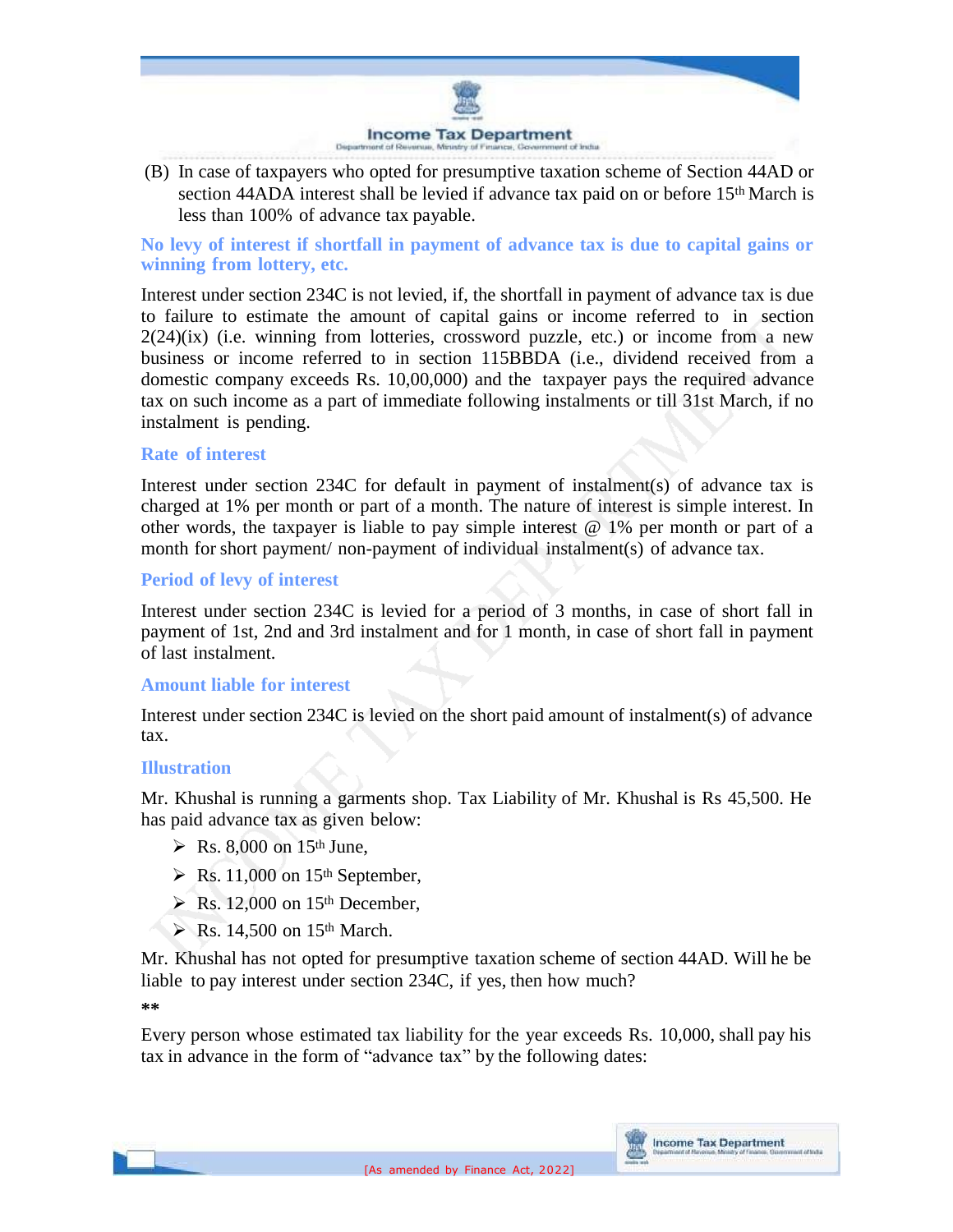

(B) In case of taxpayers who opted for presumptive taxation scheme of Section 44AD or section 44ADA interest shall be levied if advance tax paid on or before 15<sup>th</sup> March is less than 100% of advance tax payable.

**No levy of interest if shortfall in payment of advance tax is due to capital gains or winning from lottery, etc.**

Interest under section 234C is not levied, if, the shortfall in payment of advance tax is due to failure to estimate the amount of capital gains or income referred to in section  $2(24)(ix)$  (i.e. winning from lotteries, crossword puzzle, etc.) or income from a new business or income referred to in section 115BBDA (i.e., dividend received from a domestic company exceeds Rs. 10,00,000) and the taxpayer pays the required advance tax on such income as a part of immediate following instalments or till 31st March, if no instalment is pending.

### **Rate of interest**

Interest under section 234C for default in payment of instalment(s) of advance tax is charged at 1% per month or part of a month. The nature of interest is simple interest. In other words, the taxpayer is liable to pay simple interest  $@1\%$  per month or part of a month for short payment/ non-payment of individual instalment(s) of advance tax.

### **Period of levy of interest**

Interest under section 234C is levied for a period of 3 months, in case of short fall in payment of 1st, 2nd and 3rd instalment and for 1 month, in case of short fall in payment of last instalment.

### **Amount liable for interest**

Interest under section 234C is levied on the short paid amount of instalment(s) of advance tax.

### **Illustration**

Mr. Khushal is running a garments shop. Tax Liability of Mr. Khushal is Rs 45,500. He has paid advance tax as given below:

- $\triangleright$  Rs. 8,000 on 15<sup>th</sup> June.
- $\triangleright$  Rs. 11,000 on 15<sup>th</sup> September,
- $\triangleright$  Rs. 12,000 on 15<sup>th</sup> December,
- $\triangleright$  Rs. 14,500 on 15<sup>th</sup> March.

Mr. Khushal has not opted for presumptive taxation scheme of section 44AD. Will he be liable to pay interest under section 234C, if yes, then how much? **\*\***

Every person whose estimated tax liability for the year exceeds Rs. 10,000, shall pay his tax in advance in the form of "advance tax" by the following dates:

**Income Tax Department**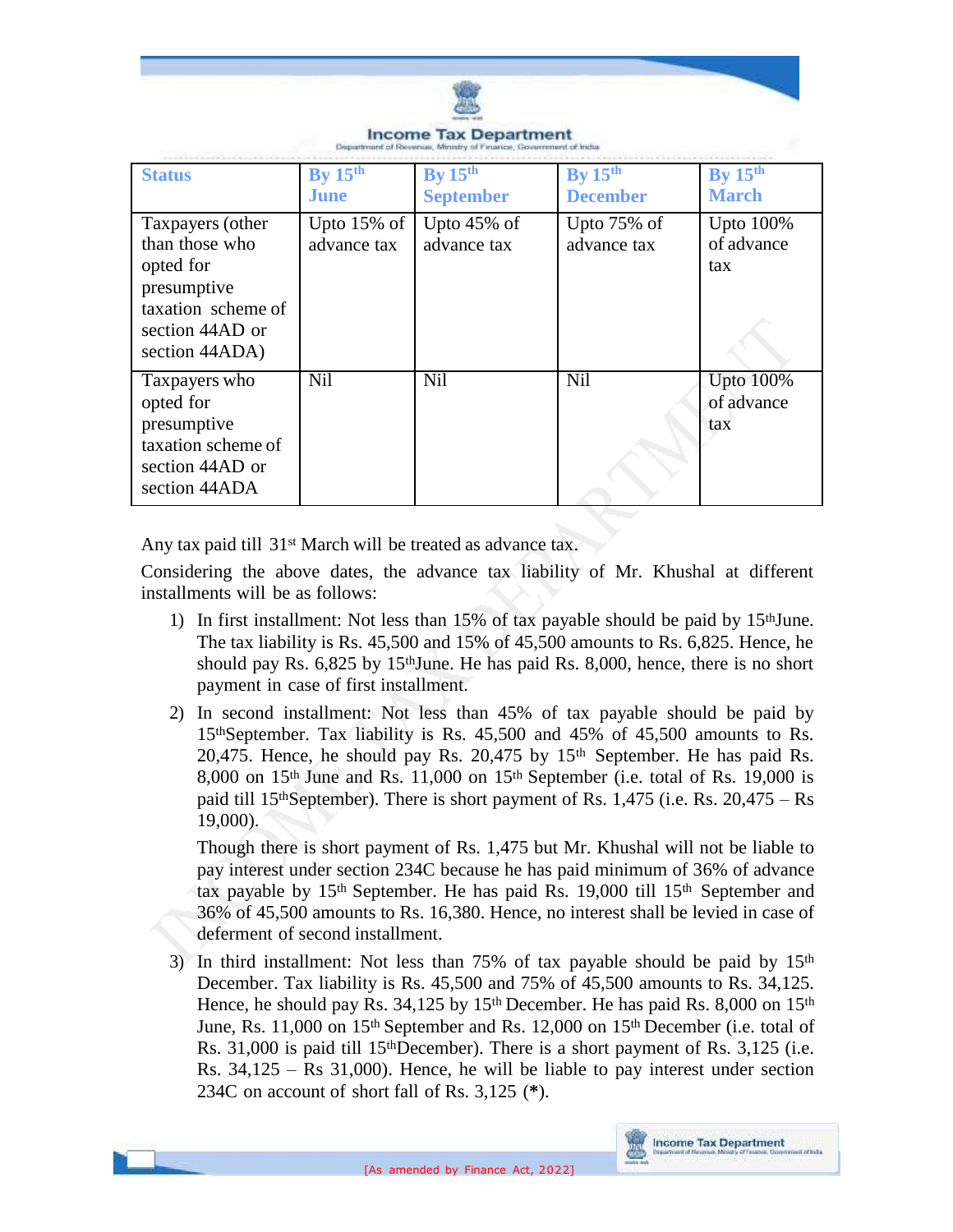

| <b>Status</b>                                                                                                             | By $15th$                     | By 15 <sup>th</sup>           | By 15 <sup>th</sup>           | By $15th$                             |
|---------------------------------------------------------------------------------------------------------------------------|-------------------------------|-------------------------------|-------------------------------|---------------------------------------|
|                                                                                                                           | <b>June</b>                   | <b>September</b>              | <b>December</b>               | <b>March</b>                          |
| Taxpayers (other<br>than those who<br>opted for<br>presumptive<br>taxation scheme of<br>section 44AD or<br>section 44ADA) | Upto $15\%$ of<br>advance tax | Upto $45\%$ of<br>advance tax | Upto $75\%$ of<br>advance tax | Upto $100\%$<br>of advance<br>tax     |
| Taxpayers who<br>opted for<br>presumptive<br>taxation scheme of<br>section 44AD or<br>section 44ADA                       | <b>Nil</b>                    | <b>Nil</b>                    | Nil                           | <b>Upto 100%</b><br>of advance<br>tax |

**Income Tax Department** 

Any tax paid till 31<sup>st</sup> March will be treated as advance tax.

Considering the above dates, the advance tax liability of Mr. Khushal at different installments will be as follows:

- 1) In first installment: Not less than  $15\%$  of tax payable should be paid by  $15<sup>th</sup>$  June. The tax liability is Rs. 45,500 and 15% of 45,500 amounts to Rs. 6,825. Hence, he should pay Rs. 6,825 by 15thJune. He has paid Rs. 8,000, hence, there is no short payment in case of first installment.
- 2) In second installment: Not less than 45% of tax payable should be paid by 15thSeptember. Tax liability is Rs. 45,500 and 45% of 45,500 amounts to Rs. 20,475. Hence, he should pay Rs. 20,475 by 15th September. He has paid Rs. 8,000 on 15<sup>th</sup> June and Rs. 11,000 on 15<sup>th</sup> September (i.e. total of Rs. 19,000 is paid till 15<sup>th</sup>September). There is short payment of Rs. 1,475 (i.e. Rs.  $20,475 - Rs$ ) 19,000).

Though there is short payment of Rs. 1,475 but Mr. Khushal will not be liable to pay interest under section 234C because he has paid minimum of 36% of advance tax payable by 15th September. He has paid Rs. 19,000 till 15th September and 36% of 45,500 amounts to Rs. 16,380. Hence, no interest shall be levied in case of deferment of second installment.

3) In third installment: Not less than 75% of tax payable should be paid by  $15<sup>th</sup>$ December. Tax liability is Rs. 45,500 and 75% of 45,500 amounts to Rs. 34,125. Hence, he should pay Rs.  $34,125$  by  $15<sup>th</sup>$  December. He has paid Rs. 8,000 on  $15<sup>th</sup>$ June, Rs. 11,000 on 15<sup>th</sup> September and Rs. 12,000 on 15<sup>th</sup> December (i.e. total of Rs. 31,000 is paid till 15thDecember). There is a short payment of Rs. 3,125 (i.e. Rs. 34,125 – Rs 31,000). Hence, he will be liable to pay interest under section 234C on account of short fall of Rs. 3,125 (**\***).

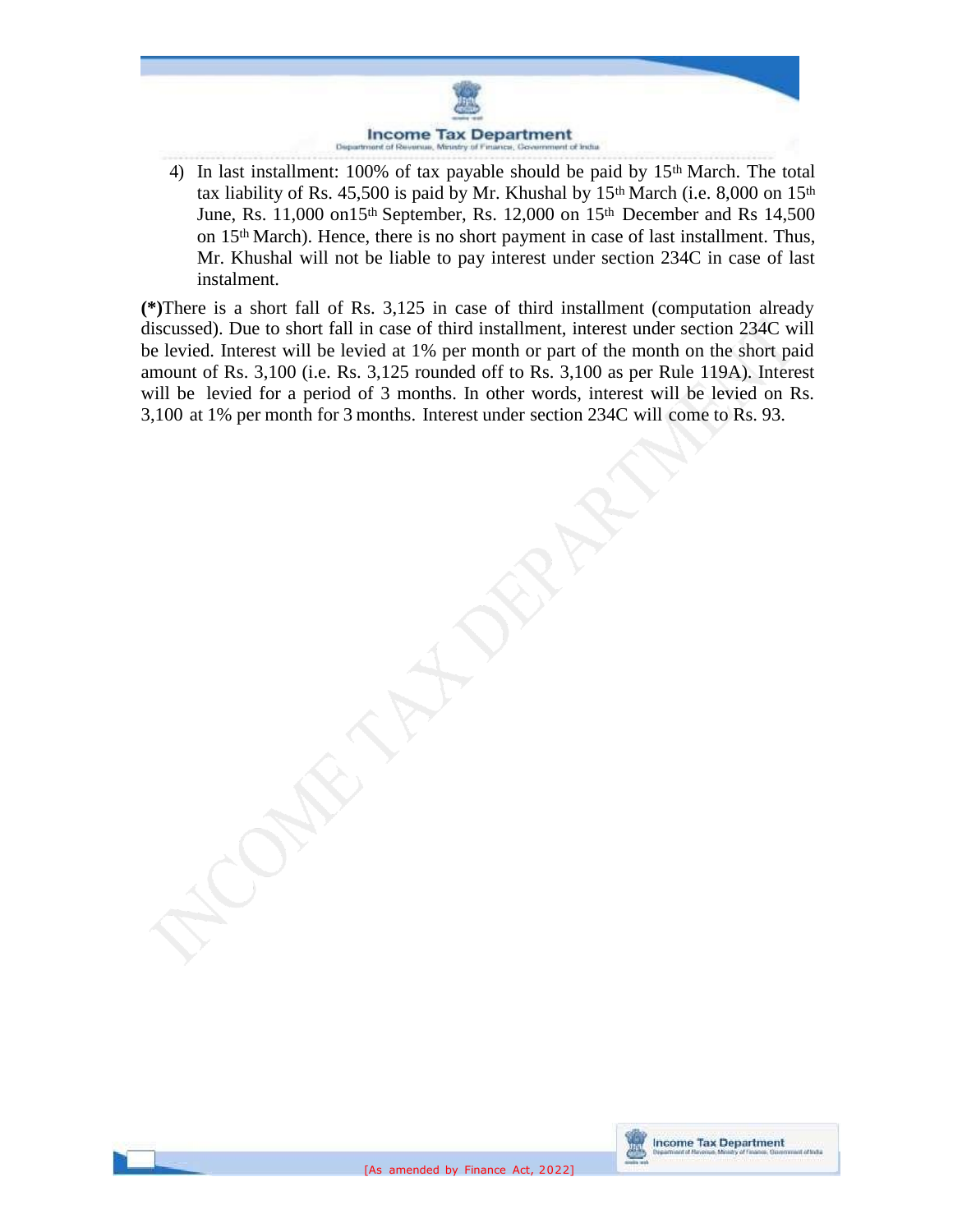

4) In last installment: 100% of tax payable should be paid by 15<sup>th</sup> March. The total tax liability of Rs. 45,500 is paid by Mr. Khushal by  $15<sup>th</sup>$  March (i.e. 8,000 on  $15<sup>th</sup>$ June, Rs. 11,000 on15th September, Rs. 12,000 on 15th December and Rs 14,500 on 15th March). Hence, there is no short payment in case of last installment. Thus, Mr. Khushal will not be liable to pay interest under section 234C in case of last instalment.

**(\*)**There is a short fall of Rs. 3,125 in case of third installment (computation already discussed). Due to short fall in case of third installment, interest under section 234C will be levied. Interest will be levied at 1% per month or part of the month on the short paid amount of Rs. 3,100 (i.e. Rs. 3,125 rounded off to Rs. 3,100 as per Rule 119A). Interest will be levied for a period of 3 months. In other words, interest will be levied on Rs. 3,100 at 1% per month for 3 months. Interest under section 234C will come to Rs. 93.

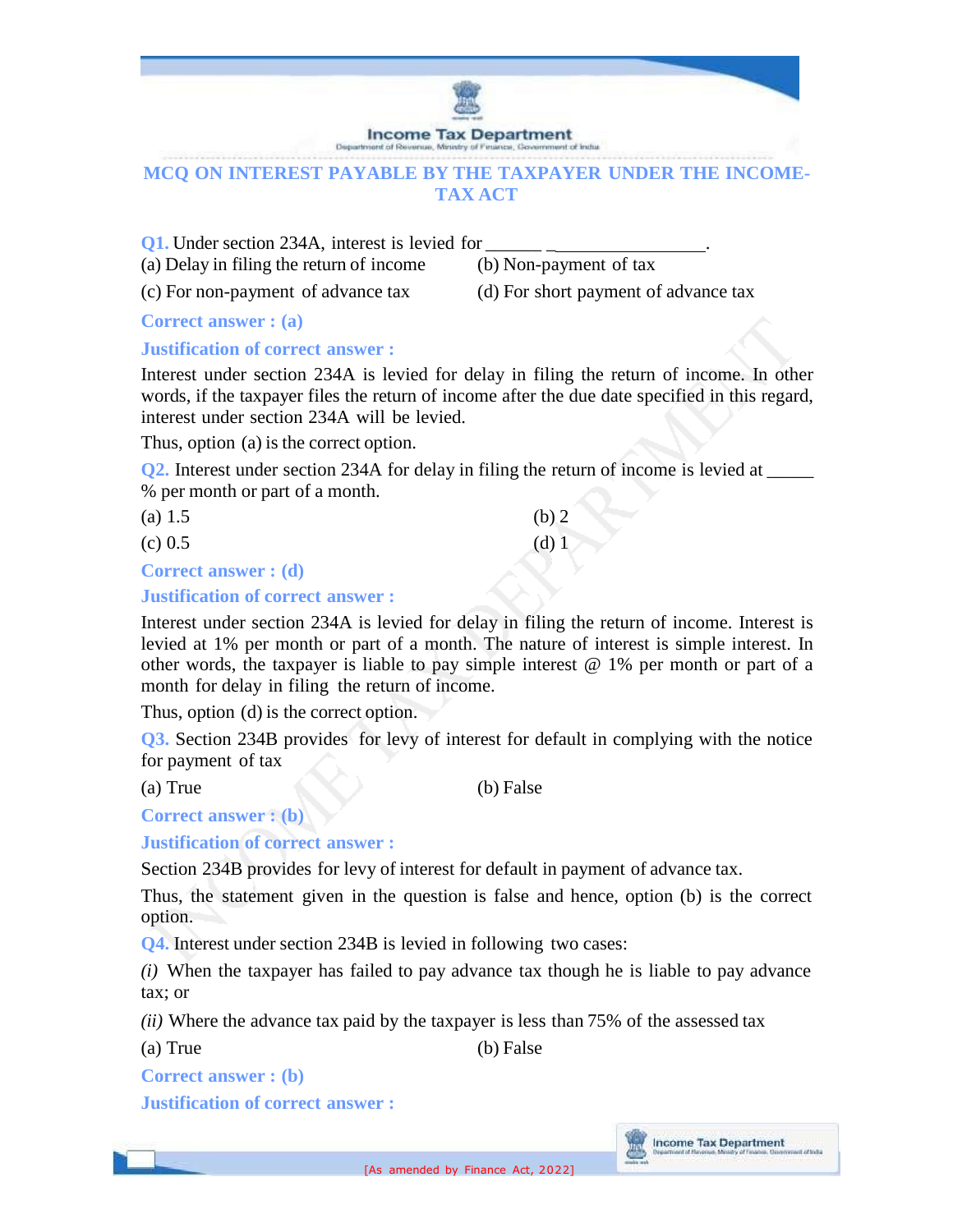

# **MCQ ON INTEREST PAYABLE BY THE TAXPAYER UNDER THE INCOME-TAX ACT**

**Q1.** Under section 234A, interest is levied for

(a) Delay in filing the return of income (b) Non-payment of tax

(c) For non-payment of advance tax (d) For short payment of advance tax

**Correct answer : (a)**

# **Justification of correct answer :**

Interest under section 234A is levied for delay in filing the return of income. In other words, if the taxpayer files the return of income after the due date specified in this regard, interest under section 234A will be levied.

Thus, option (a) is the correct option.

**Q2.** Interest under section 234A for delay in filing the return of income is levied at \_\_\_\_\_ % per month or part of a month.

| (a) $1.5$                  | $(b)$ 2 |
|----------------------------|---------|
| $(c)$ 0.5                  | $(d)$ 1 |
| <b>Correct answer: (d)</b> |         |

# **Justification of correct answer :**

Interest under section 234A is levied for delay in filing the return of income. Interest is levied at 1% per month or part of a month. The nature of interest is simple interest. In other words, the taxpayer is liable to pay simple interest  $@1%$  per month or part of a month for delay in filing the return of income.

Thus, option (d) is the correct option.

**Q3.** Section 234B provides for levy of interest for default in complying with the notice for payment of tax

(a) True (b) False

**Correct answer : (b)**

**Justification of correct answer :**

Section 234B provides for levy of interest for default in payment of advance tax.

Thus, the statement given in the question is false and hence, option (b) is the correct option.

**Q4.** Interest under section 234B is levied in following two cases:

*(i)* When the taxpayer has failed to pay advance tax though he is liable to pay advance tax; or

*(ii)* Where the advance tax paid by the taxpayer is less than 75% of the assessed tax

(a) True (b) False

**Correct answer : (b)**

**Justification of correct answer :**

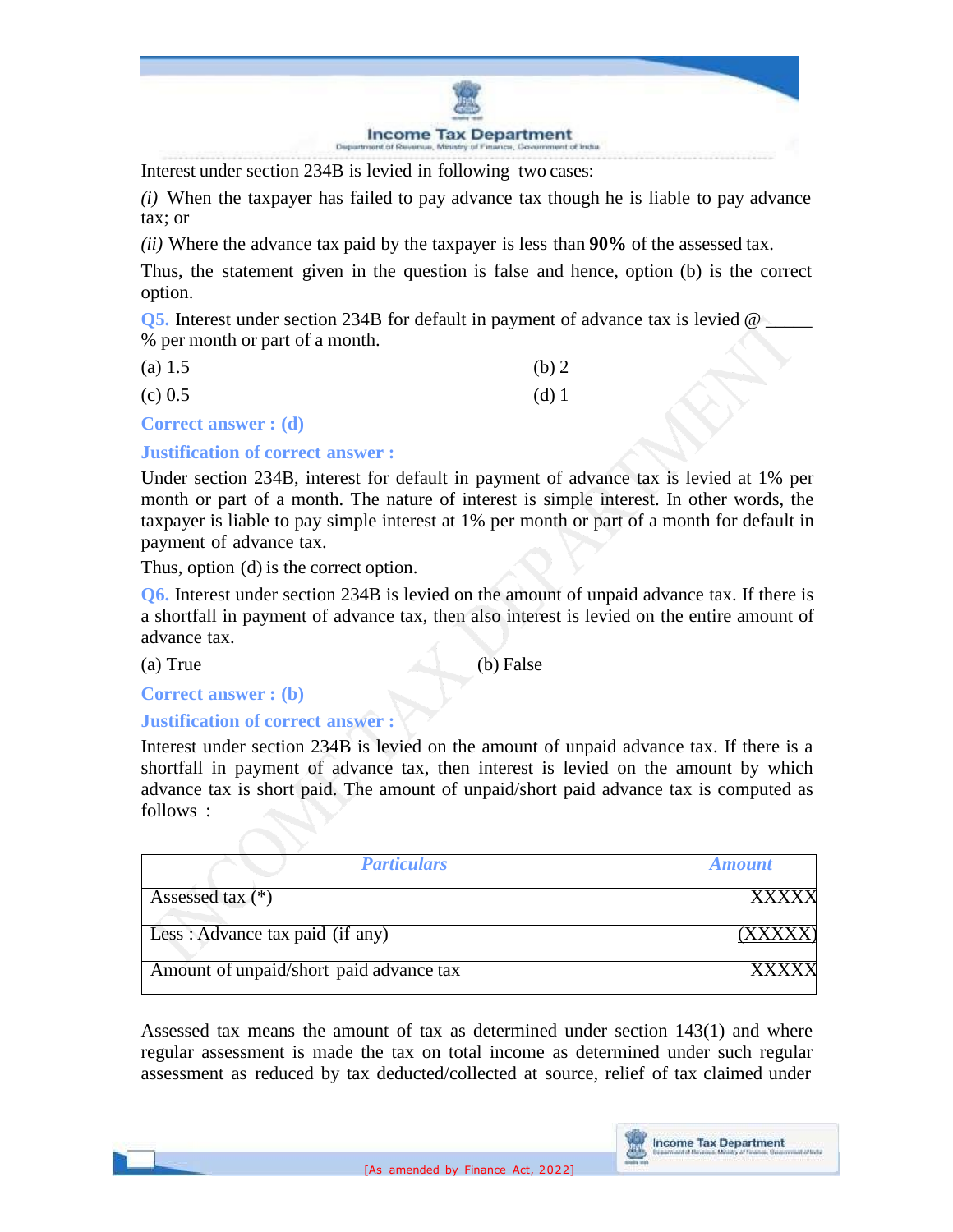

Interest under section 234B is levied in following two cases:

*(i)* When the taxpayer has failed to pay advance tax though he is liable to pay advance tax; or

*(ii)* Where the advance tax paid by the taxpayer is less than **90%** of the assessed tax.

Thus, the statement given in the question is false and hence, option (b) is the correct option.

**Q5.** Interest under section 234B for default in payment of advance tax is levied  $\omega$ % per month or part of a month.

| (a) 1.5                                   | (b) 2   |
|-------------------------------------------|---------|
| $(c)$ 0.5                                 | $(d)$ 1 |
| $\Gamma$ conseal concerned $(\mathbf{J})$ |         |

**Correct answer : (d)**

**Justification of correct answer :**

Under section 234B, interest for default in payment of advance tax is levied at 1% per month or part of a month. The nature of interest is simple interest. In other words, the taxpayer is liable to pay simple interest at 1% per month or part of a month for default in payment of advance tax.

Thus, option (d) is the correct option.

**Q6.** Interest under section 234B is levied on the amount of unpaid advance tax. If there is a shortfall in payment of advance tax, then also interest is levied on the entire amount of advance tax.

(a) True (b) False

**Correct answer : (b)**

# **Justification of correct answer :**

Interest under section 234B is levied on the amount of unpaid advance tax. If there is a shortfall in payment of advance tax, then interest is levied on the amount by which advance tax is short paid. The amount of unpaid/short paid advance tax is computed as follows :

| <b>Particulars</b>                      | <b>Amount</b> |
|-----------------------------------------|---------------|
| Assessed tax $(*)$                      | <b>XXXXX</b>  |
| Less: Advance tax paid (if any)         |               |
| Amount of unpaid/short paid advance tax |               |

Assessed tax means the amount of tax as determined under section 143(1) and where regular assessment is made the tax on total income as determined under such regular assessment as reduced by tax deducted/collected at source, relief of tax claimed under